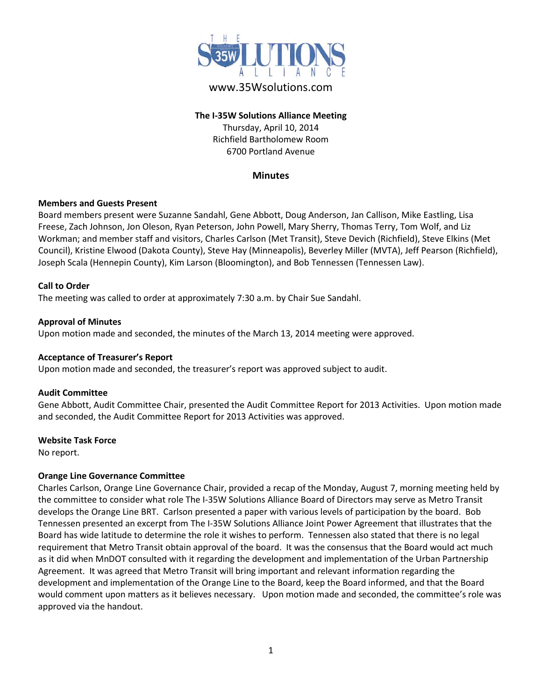

# www.35Wsolutions.com

## **The I-35W Solutions Alliance Meeting** Thursday, April 10, 2014 Richfield Bartholomew Room 6700 Portland Avenue

### **Minutes**

#### **Members and Guests Present**

Board members present were Suzanne Sandahl, Gene Abbott, Doug Anderson, Jan Callison, Mike Eastling, Lisa Freese, Zach Johnson, Jon Oleson, Ryan Peterson, John Powell, Mary Sherry, Thomas Terry, Tom Wolf, and Liz Workman; and member staff and visitors, Charles Carlson (Met Transit), Steve Devich (Richfield), Steve Elkins (Met Council), Kristine Elwood (Dakota County), Steve Hay (Minneapolis), Beverley Miller (MVTA), Jeff Pearson (Richfield), Joseph Scala (Hennepin County), Kim Larson (Bloomington), and Bob Tennessen (Tennessen Law).

#### **Call to Order**

The meeting was called to order at approximately 7:30 a.m. by Chair Sue Sandahl.

#### **Approval of Minutes**

Upon motion made and seconded, the minutes of the March 13, 2014 meeting were approved.

#### **Acceptance of Treasurer's Report**

Upon motion made and seconded, the treasurer's report was approved subject to audit.

#### **Audit Committee**

Gene Abbott, Audit Committee Chair, presented the Audit Committee Report for 2013 Activities. Upon motion made and seconded, the Audit Committee Report for 2013 Activities was approved.

#### **Website Task Force**

No report.

### **Orange Line Governance Committee**

Charles Carlson, Orange Line Governance Chair, provided a recap of the Monday, August 7, morning meeting held by the committee to consider what role The I-35W Solutions Alliance Board of Directors may serve as Metro Transit develops the Orange Line BRT. Carlson presented a paper with various levels of participation by the board. Bob Tennessen presented an excerpt from The I-35W Solutions Alliance Joint Power Agreement that illustrates that the Board has wide latitude to determine the role it wishes to perform. Tennessen also stated that there is no legal requirement that Metro Transit obtain approval of the board. It was the consensus that the Board would act much as it did when MnDOT consulted with it regarding the development and implementation of the Urban Partnership Agreement. It was agreed that Metro Transit will bring important and relevant information regarding the development and implementation of the Orange Line to the Board, keep the Board informed, and that the Board would comment upon matters as it believes necessary. Upon motion made and seconded, the committee's role was approved via the handout.